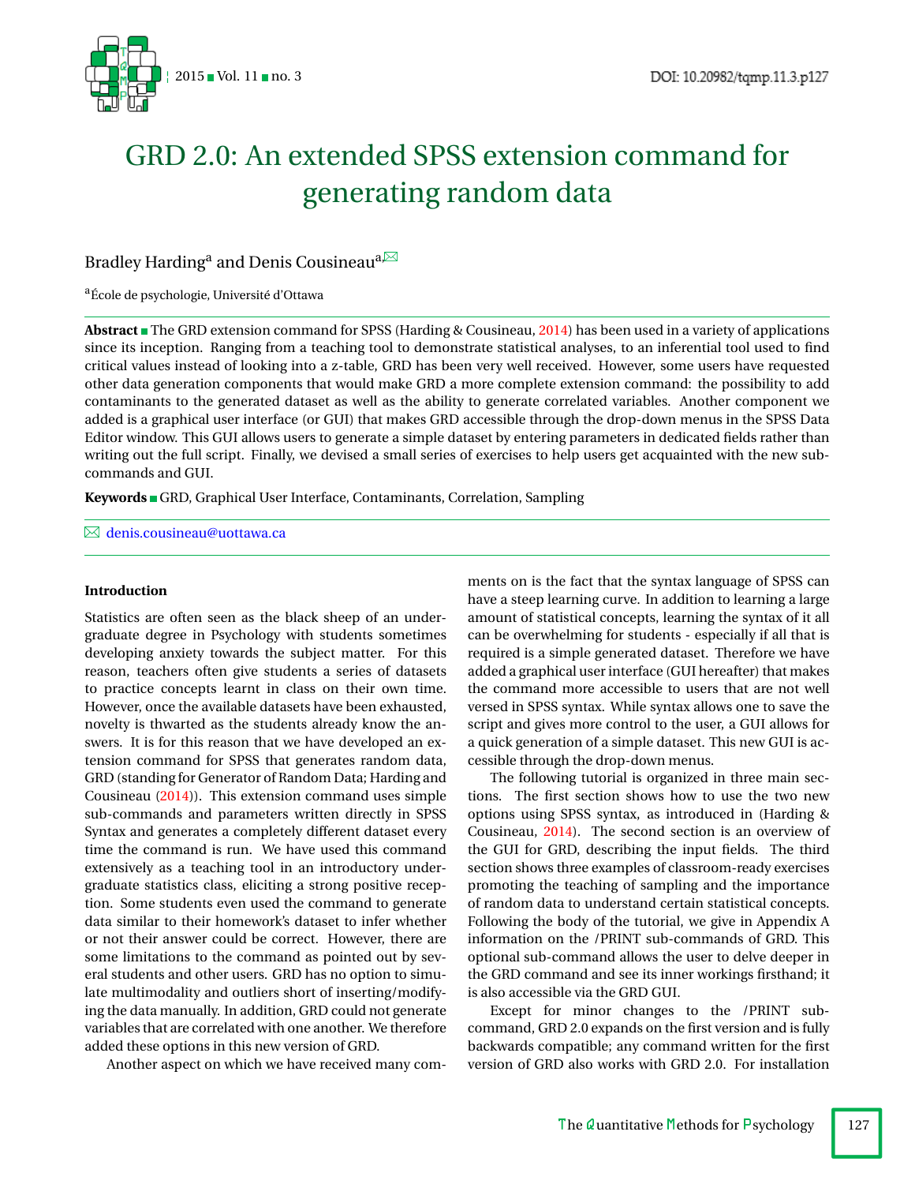

# GRD 2.0: An extended SPSS extension command for generating random data

## Bradley Harding<sup>a</sup> and Denis Cousineau<sup>a,⊠</sup>

### aÉcole de psychologie, Université d'Ottawa

**Abstract** The GRD extension command for SPSS (Harding & Cousineau, [2014\)](#page-10-0) has been used in a variety of applications since its inception. Ranging from a teaching tool to demonstrate statistical analyses, to an inferential tool used to find critical values instead of looking into a z-table, GRD has been very well received. However, some users have requested other data generation components that would make GRD a more complete extension command: the possibility to add contaminants to the generated dataset as well as the ability to generate correlated variables. Another component we added is a graphical user interface (or GUI) that makes GRD accessible through the drop-down menus in the SPSS Data Editor window. This GUI allows users to generate a simple dataset by entering parameters in dedicated fields rather than writing out the full script. Finally, we devised a small series of exercises to help users get acquainted with the new subcommands and GUI.

Keywords GRD, Graphical User Interface, Contaminants, Correlation, Sampling

[denis.cousineau@uottawa.ca](mailto:denis.cousineau@uottawa.ca)

#### **Introduction**

Statistics are often seen as the black sheep of an undergraduate degree in Psychology with students sometimes developing anxiety towards the subject matter. For this reason, teachers often give students a series of datasets to practice concepts learnt in class on their own time. However, once the available datasets have been exhausted, novelty is thwarted as the students already know the answers. It is for this reason that we have developed an extension command for SPSS that generates random data, GRD (standing for Generator of Random Data; Harding and Cousineau [\(2014\)](#page-10-0)). This extension command uses simple sub-commands and parameters written directly in SPSS Syntax and generates a completely different dataset every time the command is run. We have used this command extensively as a teaching tool in an introductory undergraduate statistics class, eliciting a strong positive reception. Some students even used the command to generate data similar to their homework's dataset to infer whether or not their answer could be correct. However, there are some limitations to the command as pointed out by several students and other users. GRD has no option to simulate multimodality and outliers short of inserting/modifying the data manually. In addition, GRD could not generate variables that are correlated with one another. We therefore added these options in this new version of GRD.

Another aspect on which we have received many com-

ments on is the fact that the syntax language of SPSS can have a steep learning curve. In addition to learning a large amount of statistical concepts, learning the syntax of it all can be overwhelming for students - especially if all that is required is a simple generated dataset. Therefore we have added a graphical user interface (GUI hereafter) that makes the command more accessible to users that are not well versed in SPSS syntax. While syntax allows one to save the script and gives more control to the user, a GUI allows for a quick generation of a simple dataset. This new GUI is accessible through the drop-down menus.

The following tutorial is organized in three main sections. The first section shows how to use the two new options using SPSS syntax, as introduced in (Harding & Cousineau, [2014\)](#page-10-0). The second section is an overview of the GUI for GRD, describing the input fields. The third section shows three examples of classroom-ready exercises promoting the teaching of sampling and the importance of random data to understand certain statistical concepts. Following the body of the tutorial, we give in Appendix A information on the /PRINT sub-commands of GRD. This optional sub-command allows the user to delve deeper in the GRD command and see its inner workings firsthand; it is also accessible via the GRD GUI.

Except for minor changes to the /PRINT subcommand, GRD 2.0 expands on the first version and is fully backwards compatible; any command written for the first version of GRD also works with GRD 2.0. For installation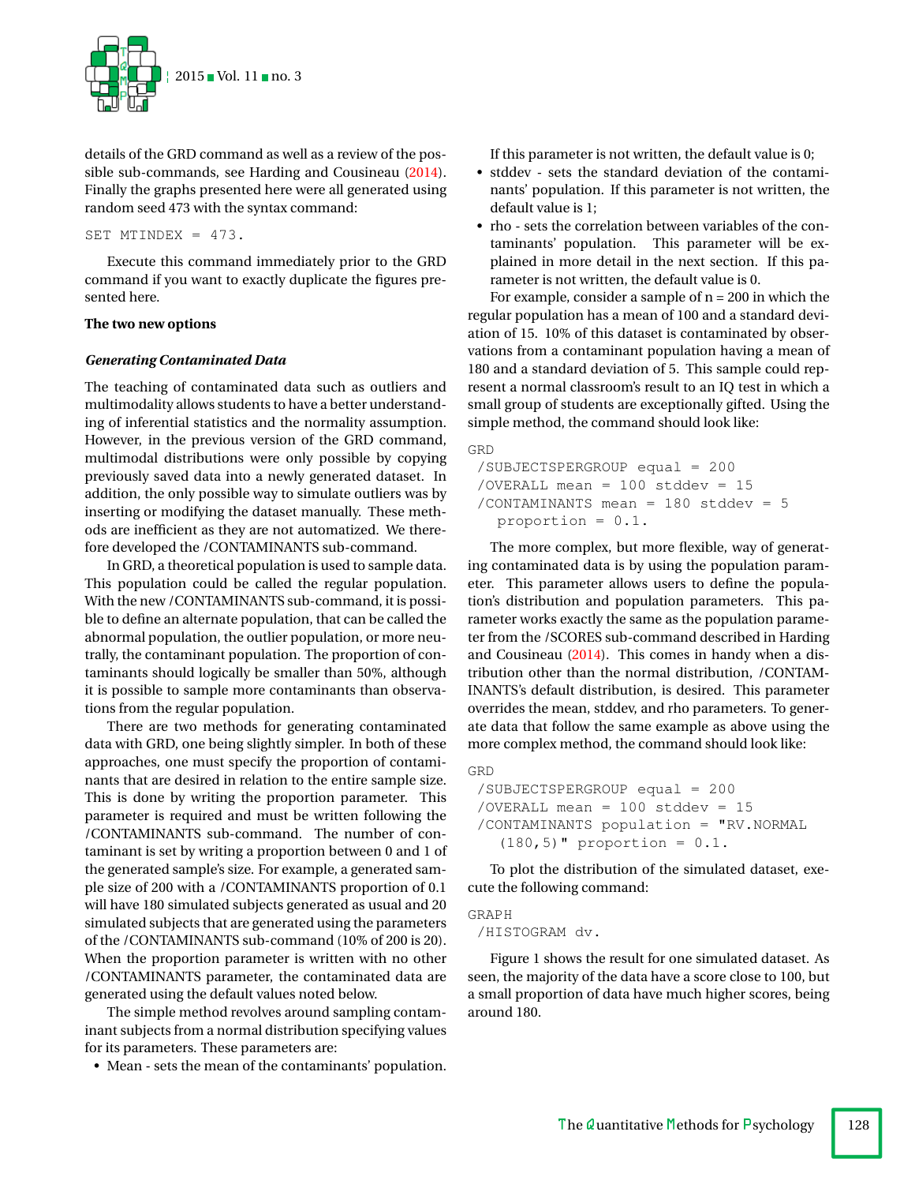

details of the GRD command as well as a review of the possible sub-commands, see Harding and Cousineau [\(2014\)](#page-10-0). Finally the graphs presented here were all generated using random seed 473 with the syntax command:

#### SET MTINDEX = 473.

Execute this command immediately prior to the GRD command if you want to exactly duplicate the figures presented here.

## **The two new options**

## *Generating Contaminated Data*

The teaching of contaminated data such as outliers and multimodality allows students to have a better understanding of inferential statistics and the normality assumption. However, in the previous version of the GRD command, multimodal distributions were only possible by copying previously saved data into a newly generated dataset. In addition, the only possible way to simulate outliers was by inserting or modifying the dataset manually. These methods are inefficient as they are not automatized. We therefore developed the /CONTAMINANTS sub-command.

In GRD, a theoretical population is used to sample data. This population could be called the regular population. With the new /CONTAMINANTS sub-command, it is possible to define an alternate population, that can be called the abnormal population, the outlier population, or more neutrally, the contaminant population. The proportion of contaminants should logically be smaller than 50%, although it is possible to sample more contaminants than observations from the regular population.

There are two methods for generating contaminated data with GRD, one being slightly simpler. In both of these approaches, one must specify the proportion of contaminants that are desired in relation to the entire sample size. This is done by writing the proportion parameter. This parameter is required and must be written following the /CONTAMINANTS sub-command. The number of contaminant is set by writing a proportion between 0 and 1 of the generated sample's size. For example, a generated sample size of 200 with a /CONTAMINANTS proportion of 0.1 will have 180 simulated subjects generated as usual and 20 simulated subjects that are generated using the parameters of the /CONTAMINANTS sub-command (10% of 200 is 20). When the proportion parameter is written with no other /CONTAMINANTS parameter, the contaminated data are generated using the default values noted below.

The simple method revolves around sampling contaminant subjects from a normal distribution specifying values for its parameters. These parameters are:

• Mean - sets the mean of the contaminants' population.

If this parameter is not written, the default value is 0;

- stddev sets the standard deviation of the contaminants' population. If this parameter is not written, the default value is 1;
- rho sets the correlation between variables of the contaminants' population. This parameter will be explained in more detail in the next section. If this parameter is not written, the default value is 0.

For example, consider a sample of  $n = 200$  in which the regular population has a mean of 100 and a standard deviation of 15. 10% of this dataset is contaminated by observations from a contaminant population having a mean of 180 and a standard deviation of 5. This sample could represent a normal classroom's result to an IQ test in which a small group of students are exceptionally gifted. Using the simple method, the command should look like:

```
GRD
```

```
/SUBJECTSPERGROUP equal = 200
/OVERALL mean = 100 stddev = 15/CONTAMINANTS mean = 180 stddev = 5
  proportion = 0.1.
```
The more complex, but more flexible, way of generating contaminated data is by using the population parameter. This parameter allows users to define the population's distribution and population parameters. This parameter works exactly the same as the population parameter from the /SCORES sub-command described in Harding and Cousineau [\(2014\)](#page-10-0). This comes in handy when a distribution other than the normal distribution, /CONTAM-INANTS's default distribution, is desired. This parameter overrides the mean, stddev, and rho parameters. To generate data that follow the same example as above using the more complex method, the command should look like:

```
GRD
```

```
/SUBJECTSPERGROUP equal = 200
/OVERALL mean = 100 stddev = 15
/CONTAMINANTS population = "RV.NORMAL
  (180, 5) " proportion = 0.1.
```
To plot the distribution of the simulated dataset, execute the following command:

```
GRAPH
```
/HISTOGRAM dv.

Figure 1 shows the result for one simulated dataset. As seen, the majority of the data have a score close to 100, but a small proportion of data have much higher scores, being around 180.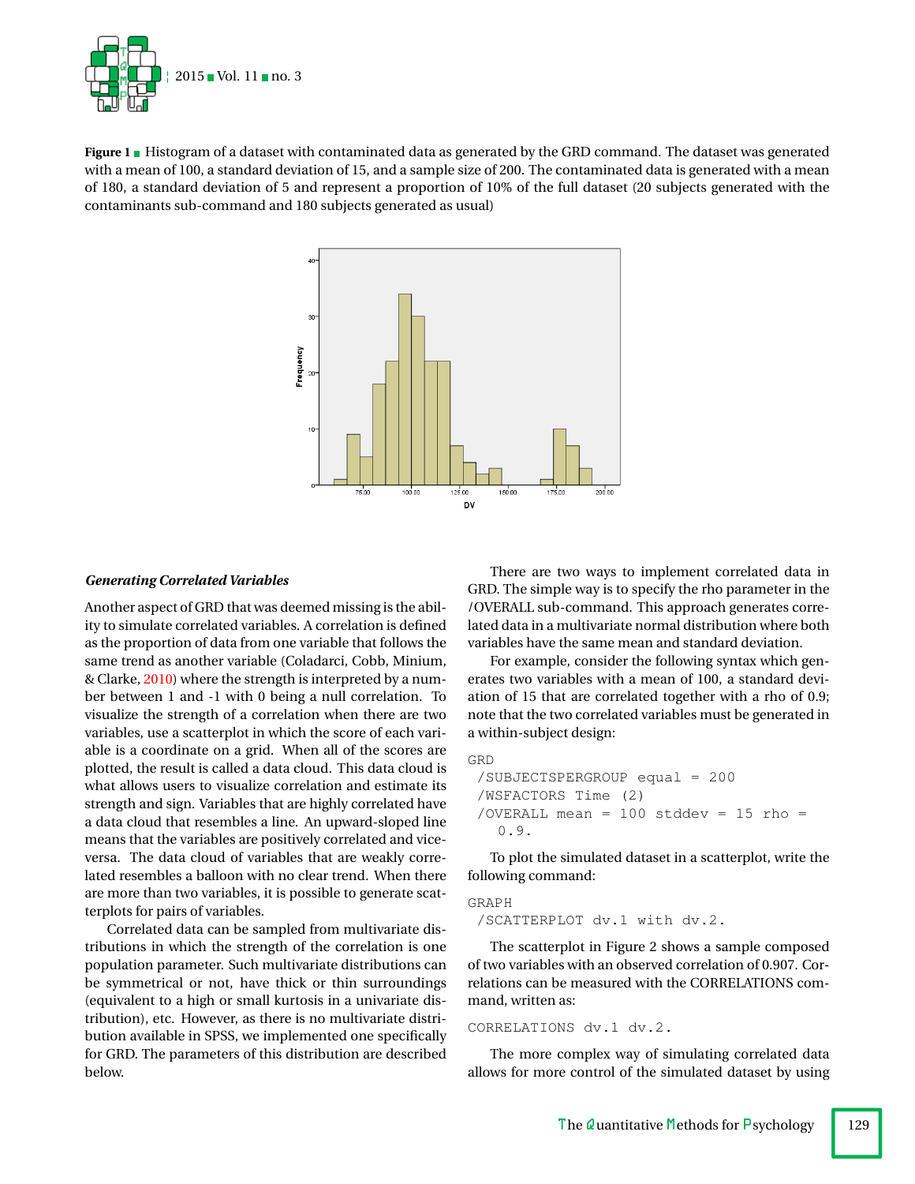

**Figure 1** Histogram of a dataset with contaminated data as generated by the GRD command. The dataset was generated with a mean of 100, a standard deviation of 15, and a sample size of 200. The contaminated data is generated with a mean of 180, a standard deviation of 5 and represent a proportion of 10% of the full dataset (20 subjects generated with the contaminants sub-command and 180 subjects generated as usual)



#### *Generating Correlated Variables*

Another aspect of GRD that was deemed missing is the ability to simulate correlated variables. A correlation is defined as the proportion of data from one variable that follows the same trend as another variable (Coladarci, Cobb, Minium, & Clarke, [2010\)](#page-10-1) where the strength is interpreted by a number between 1 and -1 with 0 being a null correlation. To visualize the strength of a correlation when there are two variables, use a scatterplot in which the score of each variable is a coordinate on a grid. When all of the scores are plotted, the result is called a data cloud. This data cloud is what allows users to visualize correlation and estimate its strength and sign. Variables that are highly correlated have a data cloud that resembles a line. An upward-sloped line means that the variables are positively correlated and viceversa. The data cloud of variables that are weakly correlated resembles a balloon with no clear trend. When there are more than two variables, it is possible to generate scatterplots for pairs of variables.

Correlated data can be sampled from multivariate distributions in which the strength of the correlation is one population parameter. Such multivariate distributions can be symmetrical or not, have thick or thin surroundings (equivalent to a high or small kurtosis in a univariate distribution), etc. However, as there is no multivariate distribution available in SPSS, we implemented one specifically for GRD. The parameters of this distribution are described below.

There are two ways to implement correlated data in GRD. The simple way is to specify the rho parameter in the /OVERALL sub-command. This approach generates correlated data in a multivariate normal distribution where both variables have the same mean and standard deviation.

For example, consider the following syntax which generates two variables with a mean of 100, a standard deviation of 15 that are correlated together with a rho of 0.9; note that the two correlated variables must be generated in a within-subject design:

```
GRD
 /SUBJECTSPERGROUP equal = 200
 /WSFACTORS Time (2)
 /OVERALL mean = 100 stddev = 15 rho =
   0.9.
```
To plot the simulated dataset in a scatterplot, write the following command:

GRAPH /SCATTERPLOT dv.1 with dv.2.

The scatterplot in Figure 2 shows a sample composed of two variables with an observed correlation of 0.907. Correlations can be measured with the CORRELATIONS command, written as:

#### CORRELATIONS dv.1 dv.2.

The more complex way of simulating correlated data allows for more control of the simulated dataset by using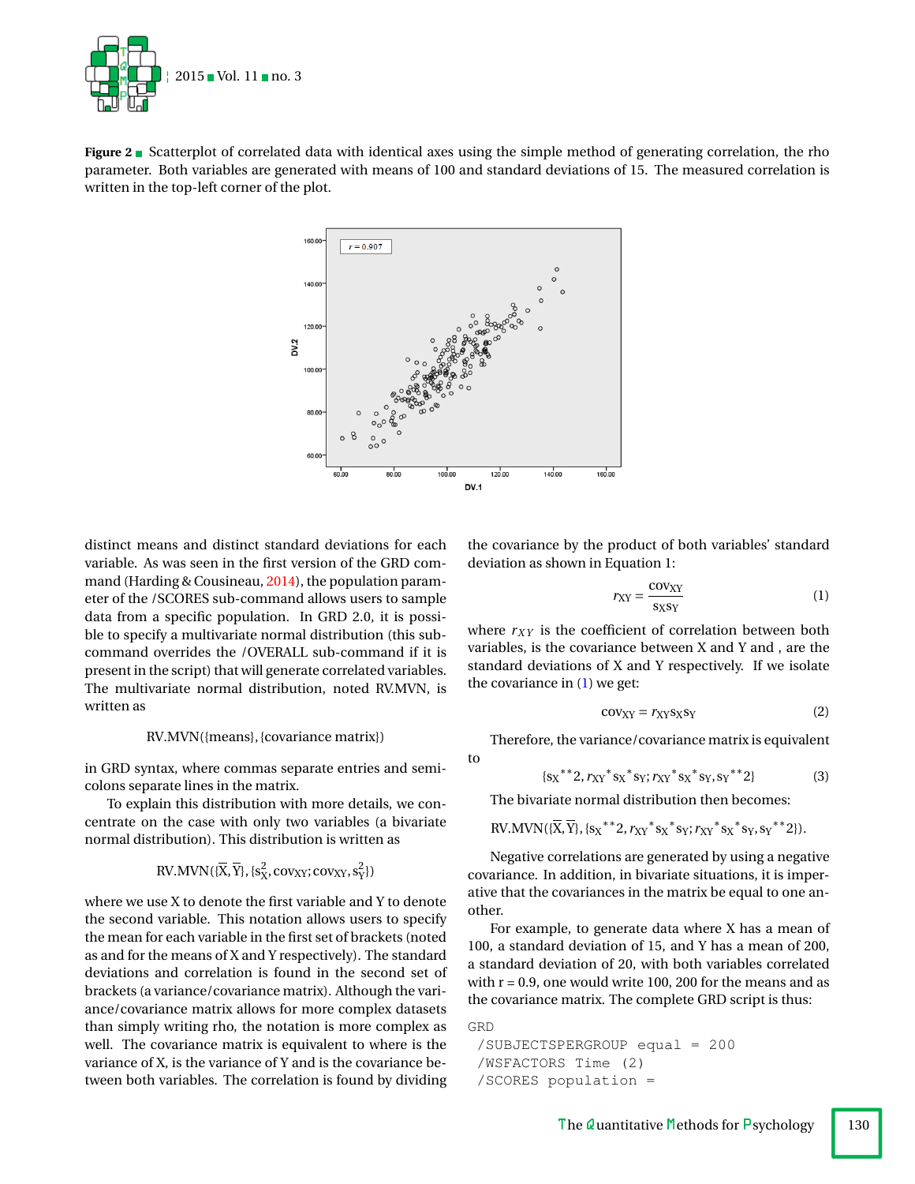

**Figure 2** Scatterplot of correlated data with identical axes using the simple method of generating correlation, the rho parameter. Both variables are generated with means of 100 and standard deviations of 15. The measured correlation is written in the top-left corner of the plot.



to

**GRD** 

distinct means and distinct standard deviations for each variable. As was seen in the first version of the GRD command (Harding & Cousineau, [2014\)](#page-10-0), the population parameter of the /SCORES sub-command allows users to sample data from a specific population. In GRD 2.0, it is possible to specify a multivariate normal distribution (this subcommand overrides the /OVERALL sub-command if it is present in the script) that will generate correlated variables. The multivariate normal distribution, noted RV.MVN, is written as

#### RV.MVN({means}, {covariance matrix})

in GRD syntax, where commas separate entries and semicolons separate lines in the matrix.

To explain this distribution with more details, we concentrate on the case with only two variables (a bivariate normal distribution). This distribution is written as

RV.MVN(
$$
\{\overline{X}, \overline{Y}\}
$$
,  $\{s_X^2, \text{cov}_{XY}; \text{cov}_{XY}, s_Y^2\}$ )

where we use X to denote the first variable and Y to denote the second variable. This notation allows users to specify the mean for each variable in the first set of brackets (noted as and for the means of X and Y respectively). The standard deviations and correlation is found in the second set of brackets (a variance/covariance matrix). Although the variance/covariance matrix allows for more complex datasets than simply writing rho, the notation is more complex as well. The covariance matrix is equivalent to where is the variance of X, is the variance of Y and is the covariance between both variables. The correlation is found by dividing the covariance by the product of both variables' standard deviation as shown in Equation 1:

<span id="page-3-0"></span>
$$
r_{XY} = \frac{\text{cov}_{XY}}{\text{s}_X \text{s}_Y} \tag{1}
$$

where  $r_{XY}$  is the coefficient of correlation between both variables, is the covariance between X and Y and , are the standard deviations of X and Y respectively. If we isolate the covariance in  $(1)$  we get:

$$
cov_{XY} = r_{XY} s_X s_Y
$$
 (2)

Therefore, the variance/covariance matrix is equivalent

$$
\{s_X^{**}2, r_{XY}^{*} s_X^{*} s_Y; r_{XY}^{*} s_X^{*} s_Y, s_Y^{**} 2\}
$$
 (3)

The bivariate normal distribution then becomes:

RV.MVN(
$$
{\overline{X}}, {\overline{Y}}
$$
},{  ${s_X}^*2$ ,  $r_{XY}^*s_X^*s_Y$ ;  $r_{XY}^*s_X^*s_Y$ ,  $s_Y^**2$ }).

Negative correlations are generated by using a negative covariance. In addition, in bivariate situations, it is imperative that the covariances in the matrix be equal to one another.

For example, to generate data where X has a mean of 100, a standard deviation of 15, and Y has a mean of 200, a standard deviation of 20, with both variables correlated with  $r = 0.9$ , one would write 100, 200 for the means and as the covariance matrix. The complete GRD script is thus:

```
/SUBJECTSPERGROUP equal = 200
/WSFACTORS Time (2)
/SCORES population =
```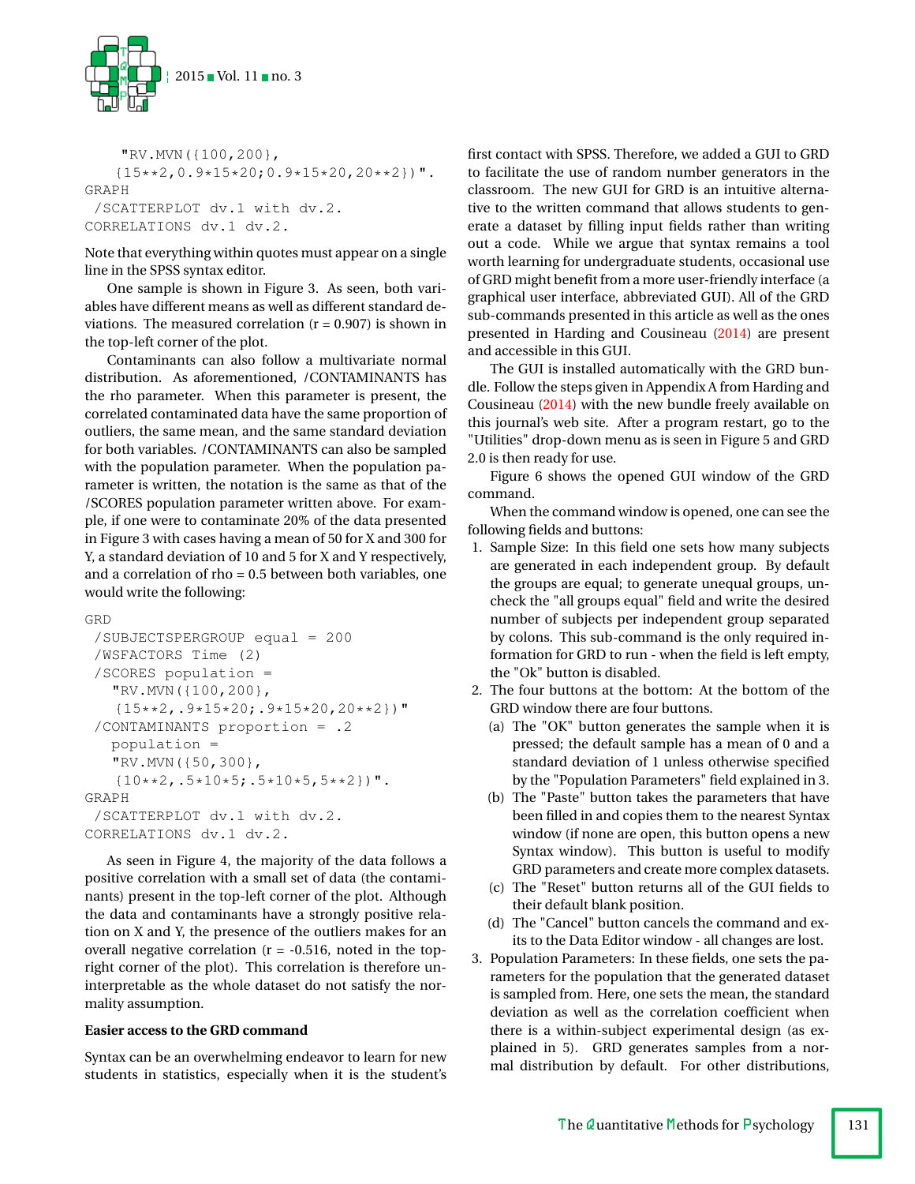

```
"RV.MVN({100,200},
   {15**2, 0.9*15*20; 0.9*15*20, 20**2}".
GRAPH
 /SCATTERPLOT dv.1 with dv.2.
CORRELATIONS dv.1 dv.2.
```
Note that everything within quotes must appear on a single line in the SPSS syntax editor.

One sample is shown in Figure 3. As seen, both variables have different means as well as different standard deviations. The measured correlation  $(r = 0.907)$  is shown in the top-left corner of the plot.

Contaminants can also follow a multivariate normal distribution. As aforementioned, /CONTAMINANTS has the rho parameter. When this parameter is present, the correlated contaminated data have the same proportion of outliers, the same mean, and the same standard deviation for both variables. /CONTAMINANTS can also be sampled with the population parameter. When the population parameter is written, the notation is the same as that of the /SCORES population parameter written above. For example, if one were to contaminate 20% of the data presented in Figure 3 with cases having a mean of 50 for X and 300 for Y, a standard deviation of 10 and 5 for X and Y respectively, and a correlation of rho = 0.5 between both variables, one would write the following:

```
GRD
 /SUBJECTSPERGROUP equal = 200
 /WSFACTORS Time (2)
 /SCORES population =
   "RV.MVN({100,200},
   {15**2,.9*15*20;.9*15*20,20**2})"
 /CONTAMINANTS proportion = .2
   population =
   "RV.MVN({50,300},
   {10***2, .5*10*5, .5*10*5, 5**2}".
GRAPH
 /SCATTERPLOT dv.1 with dv.2.
CORRELATIONS dv.1 dv.2.
```
As seen in Figure 4, the majority of the data follows a positive correlation with a small set of data (the contaminants) present in the top-left corner of the plot. Although the data and contaminants have a strongly positive relation on X and Y, the presence of the outliers makes for an overall negative correlation  $(r = -0.516)$ , noted in the topright corner of the plot). This correlation is therefore uninterpretable as the whole dataset do not satisfy the normality assumption.

#### **Easier access to the GRD command**

Syntax can be an overwhelming endeavor to learn for new students in statistics, especially when it is the student's first contact with SPSS. Therefore, we added a GUI to GRD to facilitate the use of random number generators in the classroom. The new GUI for GRD is an intuitive alternative to the written command that allows students to generate a dataset by filling input fields rather than writing out a code. While we argue that syntax remains a tool worth learning for undergraduate students, occasional use of GRD might benefit from a more user-friendly interface (a graphical user interface, abbreviated GUI). All of the GRD sub-commands presented in this article as well as the ones presented in Harding and Cousineau [\(2014\)](#page-10-0) are present and accessible in this GUI.

The GUI is installed automatically with the GRD bundle. Follow the steps given in Appendix A from Harding and Cousineau [\(2014\)](#page-10-0) with the new bundle freely available on this journal's web site. After a program restart, go to the "Utilities" drop-down menu as is seen in Figure 5 and GRD 2.0 is then ready for use.

Figure 6 shows the opened GUI window of the GRD command.

When the command window is opened, one can see the following fields and buttons:

- 1. Sample Size: In this field one sets how many subjects are generated in each independent group. By default the groups are equal; to generate unequal groups, uncheck the "all groups equal" field and write the desired number of subjects per independent group separated by colons. This sub-command is the only required information for GRD to run - when the field is left empty, the "Ok" button is disabled.
- 2. The four buttons at the bottom: At the bottom of the GRD window there are four buttons.
	- (a) The "OK" button generates the sample when it is pressed; the default sample has a mean of 0 and a standard deviation of 1 unless otherwise specified by the "Population Parameters" field explained in 3.
	- (b) The "Paste" button takes the parameters that have been filled in and copies them to the nearest Syntax window (if none are open, this button opens a new Syntax window). This button is useful to modify GRD parameters and create more complex datasets.
	- (c) The "Reset" button returns all of the GUI fields to their default blank position.
	- (d) The "Cancel" button cancels the command and exits to the Data Editor window - all changes are lost.
- 3. Population Parameters: In these fields, one sets the parameters for the population that the generated dataset is sampled from. Here, one sets the mean, the standard deviation as well as the correlation coefficient when there is a within-subject experimental design (as explained in 5). GRD generates samples from a normal distribution by default. For other distributions,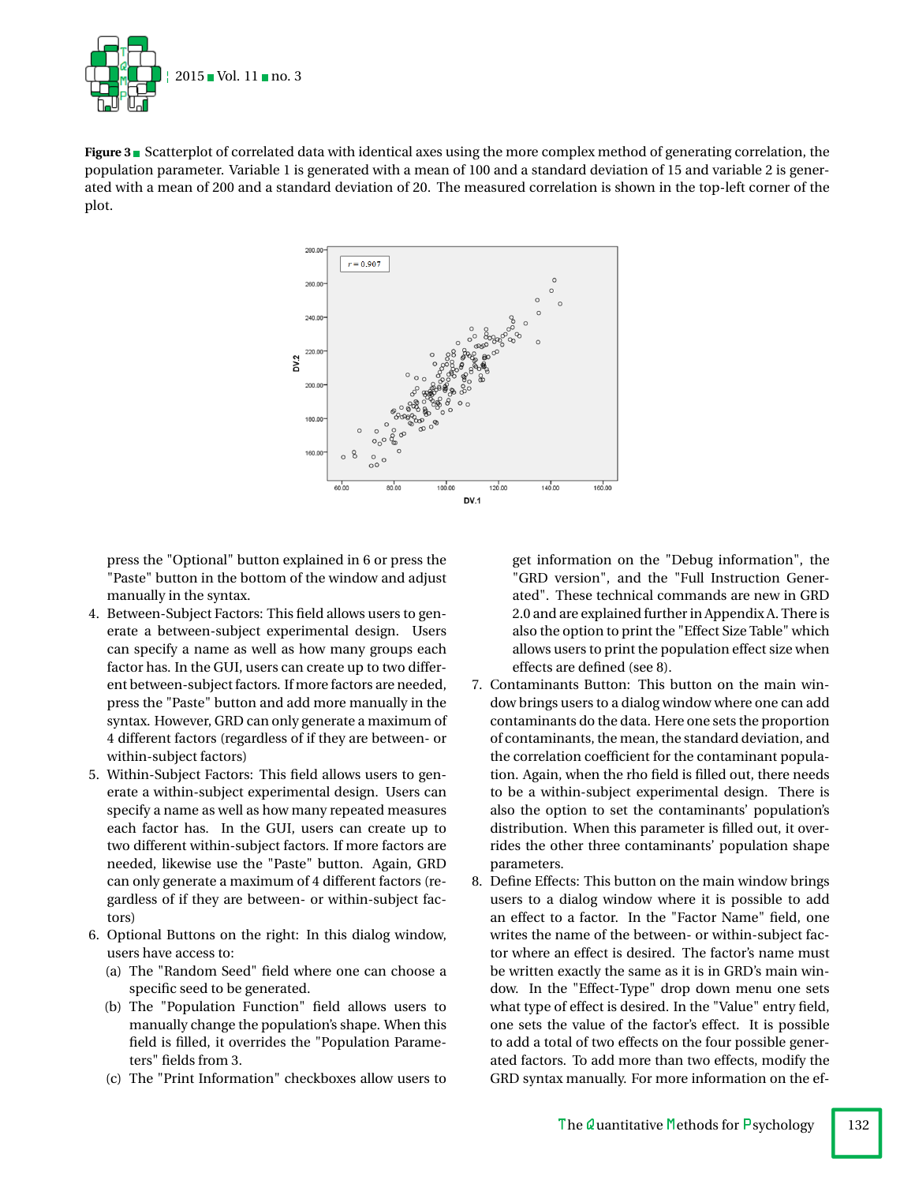

**Figure 3** Scatterplot of correlated data with identical axes using the more complex method of generating correlation, the population parameter. Variable 1 is generated with a mean of 100 and a standard deviation of 15 and variable 2 is generated with a mean of 200 and a standard deviation of 20. The measured correlation is shown in the top-left corner of the plot.



press the "Optional" button explained in 6 or press the "Paste" button in the bottom of the window and adjust manually in the syntax.

- 4. Between-Subject Factors: This field allows users to generate a between-subject experimental design. Users can specify a name as well as how many groups each factor has. In the GUI, users can create up to two different between-subject factors. If more factors are needed, press the "Paste" button and add more manually in the syntax. However, GRD can only generate a maximum of 4 different factors (regardless of if they are between- or within-subject factors)
- 5. Within-Subject Factors: This field allows users to generate a within-subject experimental design. Users can specify a name as well as how many repeated measures each factor has. In the GUI, users can create up to two different within-subject factors. If more factors are needed, likewise use the "Paste" button. Again, GRD can only generate a maximum of 4 different factors (regardless of if they are between- or within-subject factors)
- 6. Optional Buttons on the right: In this dialog window, users have access to:
	- (a) The "Random Seed" field where one can choose a specific seed to be generated.
	- (b) The "Population Function" field allows users to manually change the population's shape. When this field is filled, it overrides the "Population Parameters" fields from 3.
	- (c) The "Print Information" checkboxes allow users to

get information on the "Debug information", the "GRD version", and the "Full Instruction Generated". These technical commands are new in GRD 2.0 and are explained further in Appendix A. There is also the option to print the "Effect Size Table" which allows users to print the population effect size when effects are defined (see 8).

- 7. Contaminants Button: This button on the main window brings users to a dialog window where one can add contaminants do the data. Here one sets the proportion of contaminants, the mean, the standard deviation, and the correlation coefficient for the contaminant population. Again, when the rho field is filled out, there needs to be a within-subject experimental design. There is also the option to set the contaminants' population's distribution. When this parameter is filled out, it overrides the other three contaminants' population shape parameters.
- 8. Define Effects: This button on the main window brings users to a dialog window where it is possible to add an effect to a factor. In the "Factor Name" field, one writes the name of the between- or within-subject factor where an effect is desired. The factor's name must be written exactly the same as it is in GRD's main window. In the "Effect-Type" drop down menu one sets what type of effect is desired. In the "Value" entry field, one sets the value of the factor's effect. It is possible to add a total of two effects on the four possible generated factors. To add more than two effects, modify the GRD syntax manually. For more information on the ef-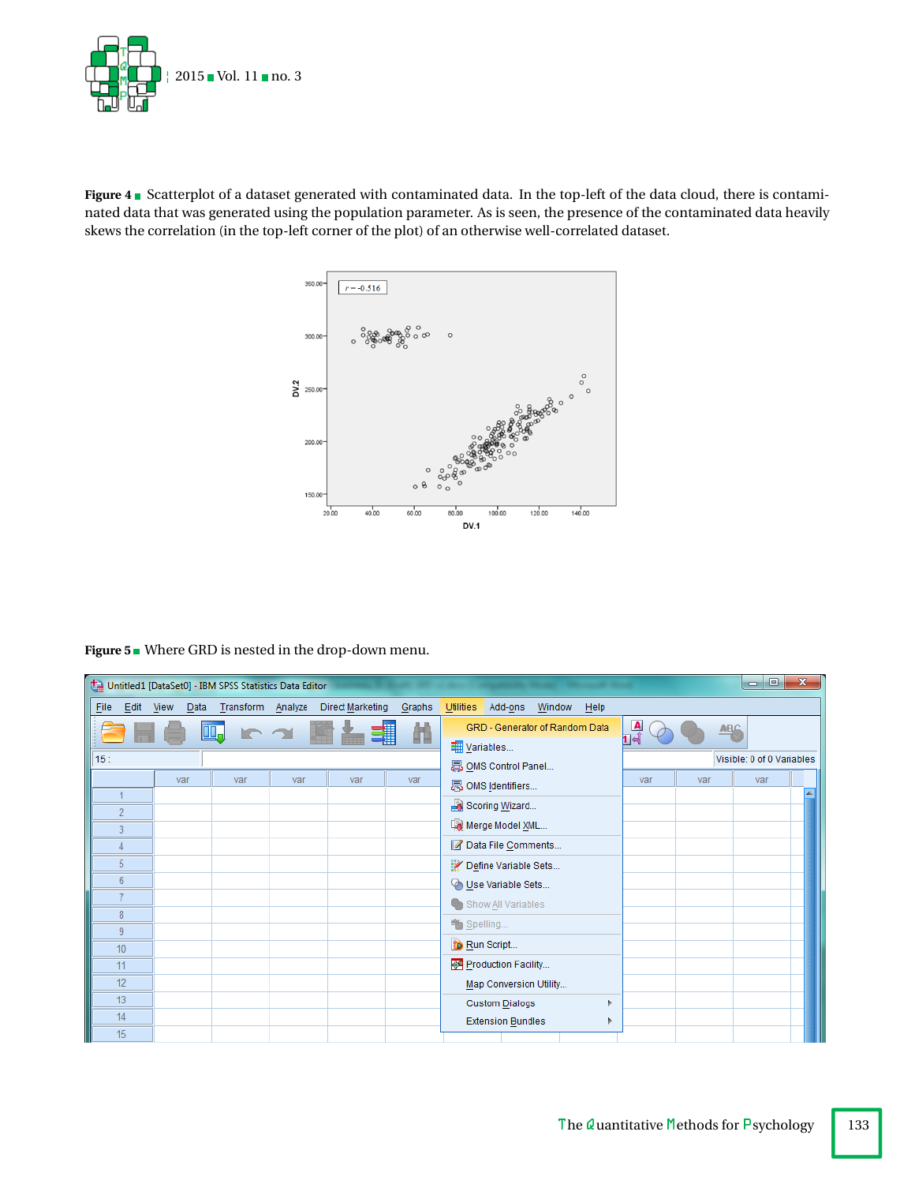

Figure 4 **B** Scatterplot of a dataset generated with contaminated data. In the top-left of the data cloud, there is contaminated data that was generated using the population parameter. As is seen, the presence of the contaminated data heavily skews the correlation (in the top-left corner of the plot) of an otherwise well-correlated dataset.



**Figure 5** Where GRD is nested in the drop-down menu.

| o<br>$\mathbf{x}$<br>Untitled1 [DataSet0] - IBM SPSS Statistics Data Editor<br>$\blacksquare$ |                |                      |     |  |                   |  |                  |        |                                                                                  |  |
|-----------------------------------------------------------------------------------------------|----------------|----------------------|-----|--|-------------------|--|------------------|--------|----------------------------------------------------------------------------------|--|
| Eile                                                                                          | Edit           | View<br><u>D</u> ata |     |  | Transform Analyze |  | Direct Marketing | Graphs | Utilities<br>Add-ons<br>Window<br>Help                                           |  |
|                                                                                               |                |                      |     |  |                   |  |                  | m      | $\frac{\Delta}{14}$<br>GRD - Generator of Random Data<br><b>ABC</b><br>Variables |  |
| 15:                                                                                           |                |                      |     |  |                   |  |                  |        | Visible: 0 of 0 Variables<br>ADMS Control Panel                                  |  |
|                                                                                               |                | var                  | var |  | var               |  | var              | var    | var<br>var<br>var<br>晶 OMS Identifiers                                           |  |
|                                                                                               |                |                      |     |  |                   |  |                  |        | Scoring Wizard                                                                   |  |
|                                                                                               | $\overline{2}$ |                      |     |  |                   |  |                  |        | Merge Model XML                                                                  |  |
|                                                                                               | 3              |                      |     |  |                   |  |                  |        | Data File Comments                                                               |  |
|                                                                                               | 4<br>5         |                      |     |  |                   |  |                  |        | Define Variable Sets                                                             |  |
|                                                                                               | 6              |                      |     |  |                   |  |                  |        |                                                                                  |  |
|                                                                                               | $\overline{7}$ |                      |     |  |                   |  |                  |        | Use Variable Sets                                                                |  |
|                                                                                               | 8              |                      |     |  |                   |  |                  |        | Conshow All Variables                                                            |  |
|                                                                                               | 9              |                      |     |  |                   |  |                  |        | Spelling                                                                         |  |
|                                                                                               | 10             |                      |     |  |                   |  |                  |        | <b>FD Run Script</b>                                                             |  |
|                                                                                               | 11             |                      |     |  |                   |  |                  |        | Production Facility                                                              |  |
|                                                                                               | 12             |                      |     |  |                   |  |                  |        | Map Conversion Utility                                                           |  |
|                                                                                               | 13<br>14       |                      |     |  |                   |  |                  |        | <b>Custom Dialogs</b>                                                            |  |
|                                                                                               | 15             |                      |     |  |                   |  |                  |        | <b>Extension Bundles</b>                                                         |  |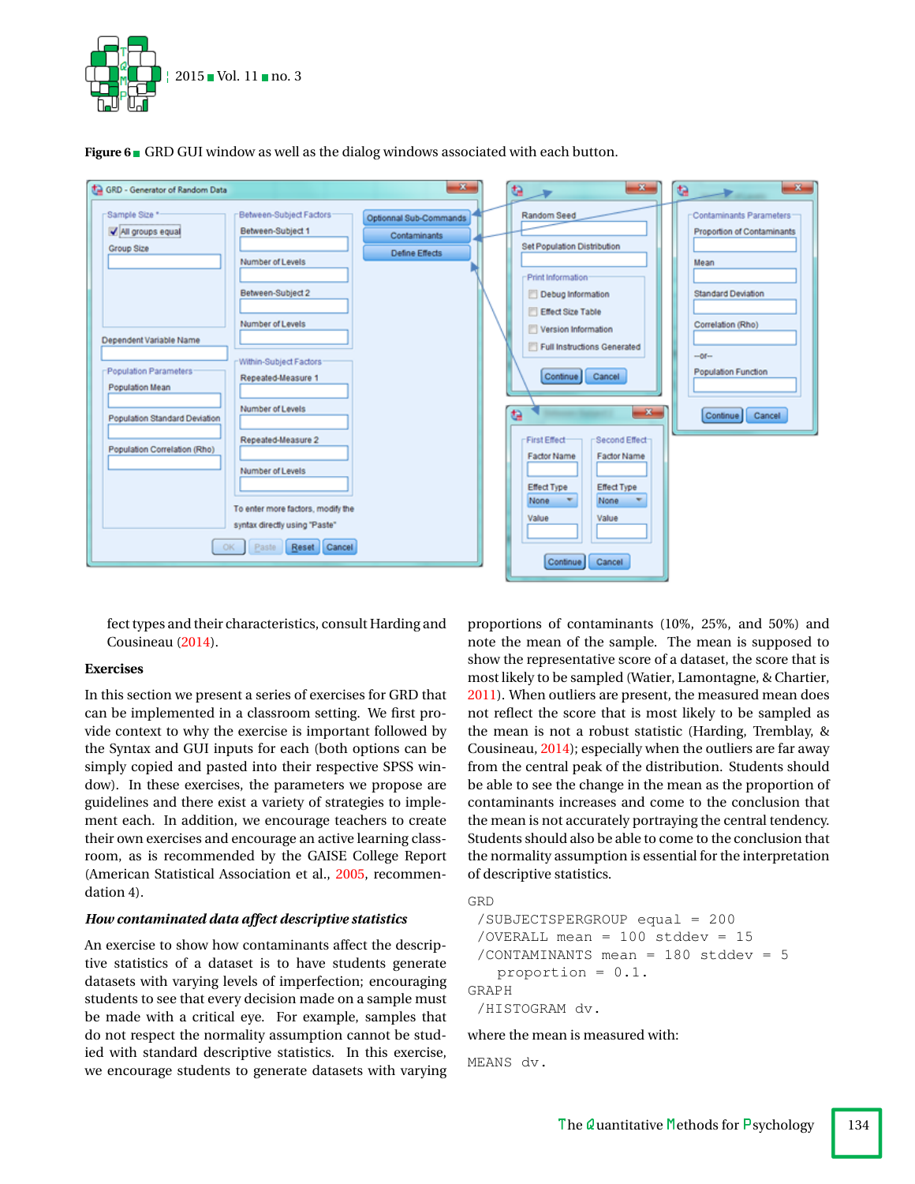

**Figure 6** GRD GUI window as well as the dialog windows associated with each button.



fect types and their characteristics, consult Harding and Cousineau [\(2014\)](#page-10-0).

## **Exercises**

In this section we present a series of exercises for GRD that can be implemented in a classroom setting. We first provide context to why the exercise is important followed by the Syntax and GUI inputs for each (both options can be simply copied and pasted into their respective SPSS window). In these exercises, the parameters we propose are guidelines and there exist a variety of strategies to implement each. In addition, we encourage teachers to create their own exercises and encourage an active learning classroom, as is recommended by the GAISE College Report (American Statistical Association et al., [2005,](#page-10-2) recommendation 4).

## *How contaminated data affect descriptive statistics*

An exercise to show how contaminants affect the descriptive statistics of a dataset is to have students generate datasets with varying levels of imperfection; encouraging students to see that every decision made on a sample must be made with a critical eye. For example, samples that do not respect the normality assumption cannot be studied with standard descriptive statistics. In this exercise, we encourage students to generate datasets with varying proportions of contaminants (10%, 25%, and 50%) and note the mean of the sample. The mean is supposed to show the representative score of a dataset, the score that is most likely to be sampled (Watier, Lamontagne, & Chartier, [2011\)](#page-10-3). When outliers are present, the measured mean does not reflect the score that is most likely to be sampled as the mean is not a robust statistic (Harding, Tremblay, & Cousineau, [2014\)](#page-10-4); especially when the outliers are far away from the central peak of the distribution. Students should be able to see the change in the mean as the proportion of contaminants increases and come to the conclusion that the mean is not accurately portraying the central tendency. Students should also be able to come to the conclusion that the normality assumption is essential for the interpretation of descriptive statistics.

```
GRD
 /SUBJECTSPERGROUP equal = 200
 /OVERALL mean = 100 stddev = 15
 /CONTAMINANTS mean = 180 stddev = 5
   proportion = 0.1.
GRAPH
 /HISTOGRAM dv.
```
where the mean is measured with:

MEANS dv.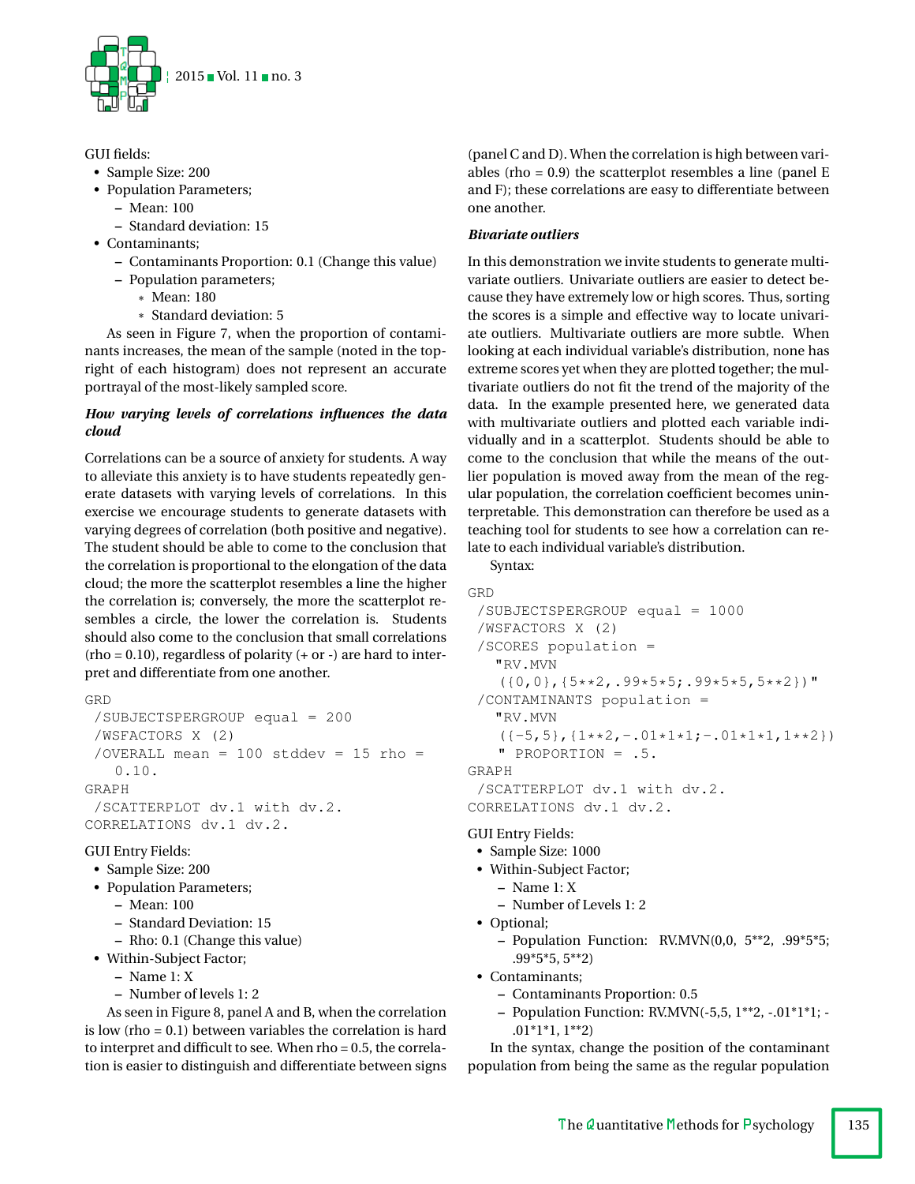

## GUI fields:

- Sample Size: 200
- Population Parameters;
	- **–** Mean: 100
	- **–** Standard deviation: 15
- Contaminants;
	- **–** Contaminants Proportion: 0.1 (Change this value)
	- **–** Population parameters;
		- \* Mean: 180
		- \* Standard deviation: 5

As seen in Figure 7, when the proportion of contaminants increases, the mean of the sample (noted in the topright of each histogram) does not represent an accurate portrayal of the most-likely sampled score.

## *How varying levels of correlations influences the data cloud*

Correlations can be a source of anxiety for students. A way to alleviate this anxiety is to have students repeatedly generate datasets with varying levels of correlations. In this exercise we encourage students to generate datasets with varying degrees of correlation (both positive and negative). The student should be able to come to the conclusion that the correlation is proportional to the elongation of the data cloud; the more the scatterplot resembles a line the higher the correlation is; conversely, the more the scatterplot resembles a circle, the lower the correlation is. Students should also come to the conclusion that small correlations  $(rho = 0.10)$ , regardless of polarity  $(+ or -)$  are hard to interpret and differentiate from one another.

```
GRD
```

```
/SUBJECTSPERGROUP equal = 200
 /WSFACTORS X (2)
 /OVERALL mean = 100 stddev = 15 rho =
   0.10.
GRAPH
 /SCATTERPLOT dv.1 with dv.2.
CORRELATIONS dv.1 dv.2.
```
## GUI Entry Fields:

- Sample Size: 200
- Population Parameters;
	- **–** Mean: 100
	- **–** Standard Deviation: 15
	- **–** Rho: 0.1 (Change this value)
- Within-Subject Factor;
	- **–** Name 1: X
	- **–** Number of levels 1: 2

As seen in Figure 8, panel A and B, when the correlation is low (rho = 0.1) between variables the correlation is hard to interpret and difficult to see. When rho = 0.5, the correlation is easier to distinguish and differentiate between signs (panel C and D). When the correlation is high between variables (rho = 0.9) the scatterplot resembles a line (panel E and F); these correlations are easy to differentiate between one another.

## *Bivariate outliers*

In this demonstration we invite students to generate multivariate outliers. Univariate outliers are easier to detect because they have extremely low or high scores. Thus, sorting the scores is a simple and effective way to locate univariate outliers. Multivariate outliers are more subtle. When looking at each individual variable's distribution, none has extreme scores yet when they are plotted together; the multivariate outliers do not fit the trend of the majority of the data. In the example presented here, we generated data with multivariate outliers and plotted each variable individually and in a scatterplot. Students should be able to come to the conclusion that while the means of the outlier population is moved away from the mean of the regular population, the correlation coefficient becomes uninterpretable. This demonstration can therefore be used as a teaching tool for students to see how a correlation can relate to each individual variable's distribution.

Syntax:

```
GRD
 /SUBJECTSPERGROUP equal = 1000
 /WSFACTORS X (2)
 /SCORES population =
   "RV.MVN
   ({0,0},({5**2,09*5*5;09*5*5,5**2})"
 /CONTAMINANTS population =
   "RV.MVN
   ({-5, 5}, {1**2, -.01*1*1; -.01*1*1, 1**2})" PROPORTION = .5.
GRAPH
 /SCATTERPLOT dv.1 with dv.2.
CORRELATIONS dv.1 dv.2.
```
## GUI Entry Fields:

- Sample Size: 1000
- Within-Subject Factor;
	- **–** Name 1: X
		- **–** Number of Levels 1: 2
- Optional;
	- **–** Population Function: RV.MVN(0,0, 5\*\*2, .99\*5\*5; .99\*5\*5, 5\*\*2)
- Contaminants;
	- **–** Contaminants Proportion: 0.5
	- **–** Population Function: RV.MVN(-5,5, 1\*\*2, -.01\*1\*1; .01\*1\*1, 1\*\*2)

In the syntax, change the position of the contaminant population from being the same as the regular population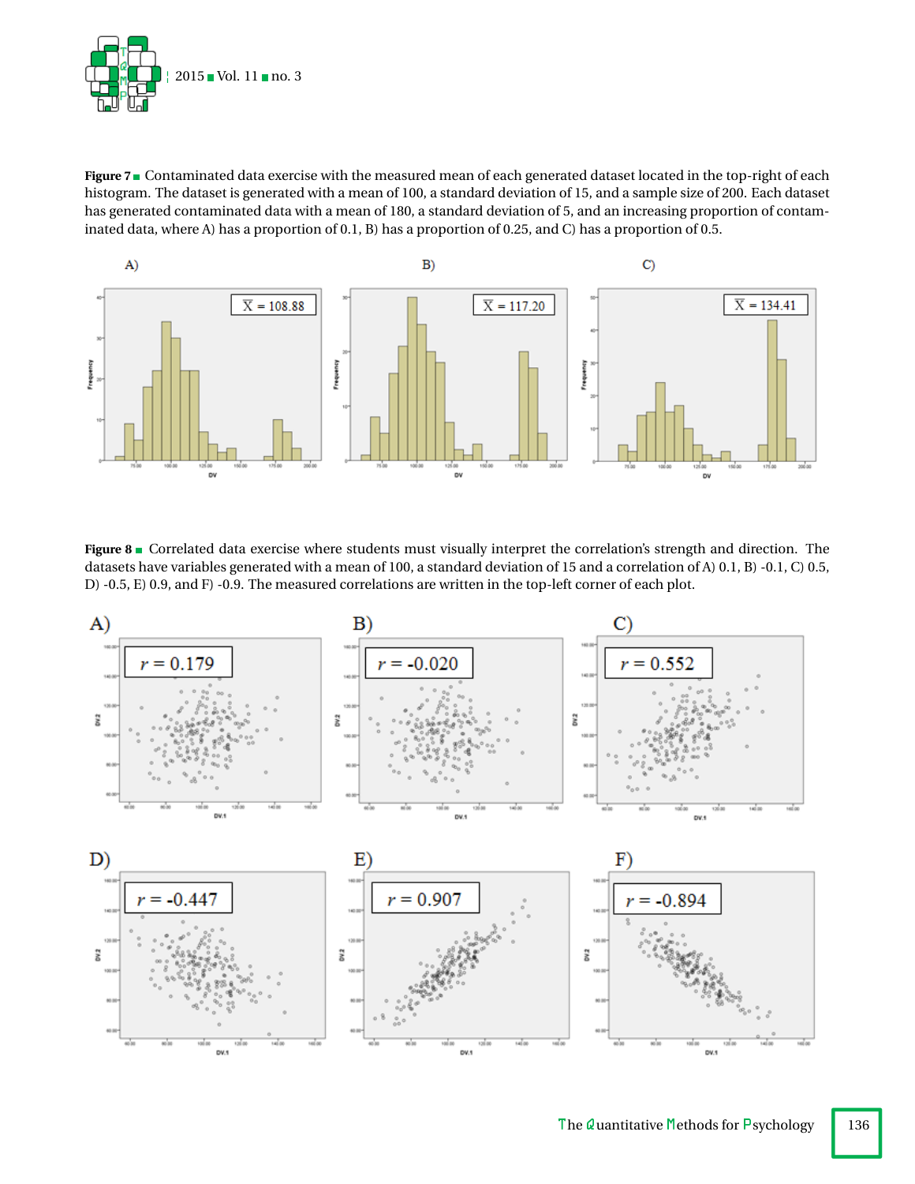

Figure 7<sup>1</sup> Contaminated data exercise with the measured mean of each generated dataset located in the top-right of each histogram. The dataset is generated with a mean of 100, a standard deviation of 15, and a sample size of 200. Each dataset has generated contaminated data with a mean of 180, a standard deviation of 5, and an increasing proportion of contaminated data, where A) has a proportion of 0.1, B) has a proportion of 0.25, and C) has a proportion of 0.5.



Figure 8 Correlated data exercise where students must visually interpret the correlation's strength and direction. The datasets have variables generated with a mean of 100, a standard deviation of 15 and a correlation of A) 0.1, B) -0.1, C) 0.5, D) -0.5, E) 0.9, and F) -0.9. The measured correlations are written in the top-left corner of each plot.

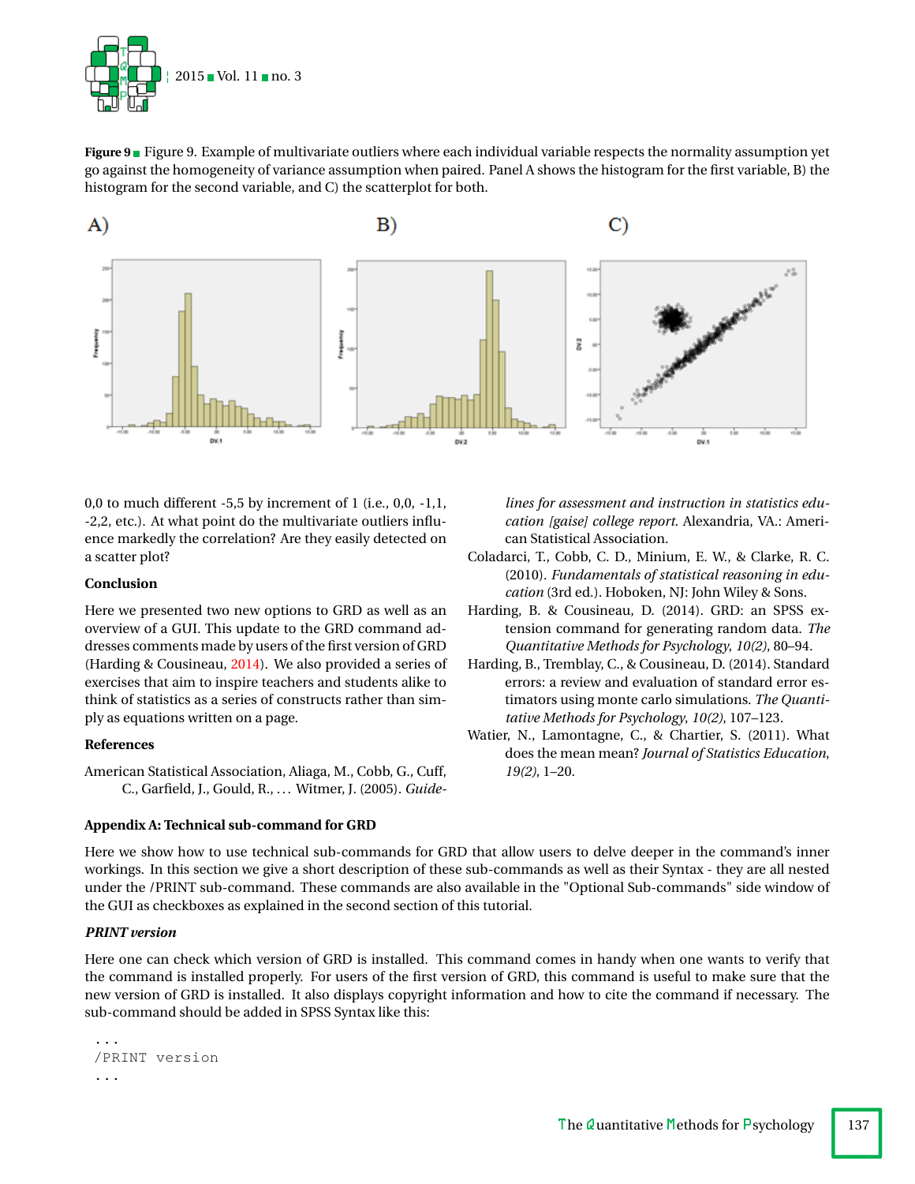

**Figure 9** Figure 9. Example of multivariate outliers where each individual variable respects the normality assumption yet go against the homogeneity of variance assumption when paired. Panel A shows the histogram for the first variable, B) the histogram for the second variable, and C) the scatterplot for both.



0,0 to much different  $-5.5$  by increment of 1 (i.e., 0,0,  $-1.1$ , -2,2, etc.). At what point do the multivariate outliers influence markedly the correlation? Are they easily detected on a scatter plot?

## **Conclusion**

Here we presented two new options to GRD as well as an overview of a GUI. This update to the GRD command addresses comments made by users of the first version of GRD (Harding & Cousineau, [2014\)](#page-10-0). We also provided a series of exercises that aim to inspire teachers and students alike to think of statistics as a series of constructs rather than simply as equations written on a page.

## **References**

<span id="page-10-2"></span>American Statistical Association, Aliaga, M., Cobb, G., Cuff, C., Garfield, J., Gould, R., . . . Witmer, J. (2005). *Guide-*

## **Appendix A: Technical sub-command for GRD**

*lines for assessment and instruction in statistics education [gaise] college report*. Alexandria, VA.: American Statistical Association.

- <span id="page-10-1"></span>Coladarci, T., Cobb, C. D., Minium, E. W., & Clarke, R. C. (2010). *Fundamentals of statistical reasoning in education* (3rd ed.). Hoboken, NJ: John Wiley & Sons.
- <span id="page-10-0"></span>Harding, B. & Cousineau, D. (2014). GRD: an SPSS extension command for generating random data. *The Quantitative Methods for Psychology*, *10(2)*, 80–94.
- <span id="page-10-4"></span>Harding, B., Tremblay, C., & Cousineau, D. (2014). Standard errors: a review and evaluation of standard error estimators using monte carlo simulations. *The Quantitative Methods for Psychology*, *10(2)*, 107–123.
- <span id="page-10-3"></span>Watier, N., Lamontagne, C., & Chartier, S. (2011). What does the mean mean? *Journal of Statistics Education*, *19(2)*, 1–20.

Here we show how to use technical sub-commands for GRD that allow users to delve deeper in the command's inner workings. In this section we give a short description of these sub-commands as well as their Syntax - they are all nested under the /PRINT sub-command. These commands are also available in the "Optional Sub-commands" side window of the GUI as checkboxes as explained in the second section of this tutorial.

## *PRINT version*

Here one can check which version of GRD is installed. This command comes in handy when one wants to verify that the command is installed properly. For users of the first version of GRD, this command is useful to make sure that the new version of GRD is installed. It also displays copyright information and how to cite the command if necessary. The sub-command should be added in SPSS Syntax like this:

```
...
/PRINT version
...
```